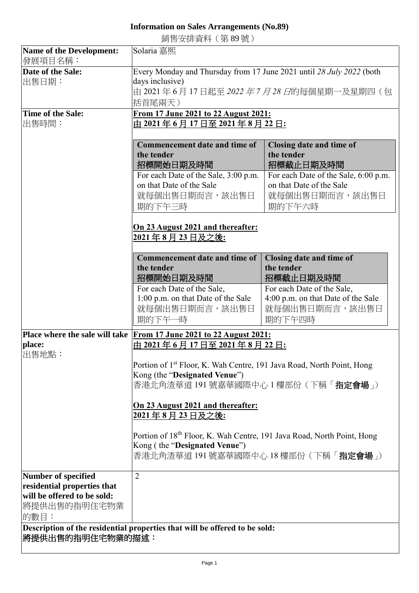## **Information on Sales Arrangements (No.89)**

銷售安排資料(第 89 號)

| <b>Name of the Development:</b>                            | Solaria 嘉熙                                                                         |                                        |  |
|------------------------------------------------------------|------------------------------------------------------------------------------------|----------------------------------------|--|
| 發展項目名稱:                                                    |                                                                                    |                                        |  |
| Date of the Sale:                                          | Every Monday and Thursday from 17 June 2021 until 28 July 2022 (both               |                                        |  |
| 出售日期:                                                      | days inclusive)                                                                    |                                        |  |
|                                                            | 由 2021年6月17日起至 2022年7月28日的每個星期一及星期四(包                                              |                                        |  |
|                                                            | 括首尾兩天)                                                                             |                                        |  |
| <b>Time of the Sale:</b>                                   | From 17 June 2021 to 22 August 2021:                                               |                                        |  |
| 出售時間:                                                      | 由 2021年6月17日至 2021年8月22日:                                                          |                                        |  |
|                                                            |                                                                                    |                                        |  |
|                                                            | Commencement date and time of                                                      | Closing date and time of               |  |
|                                                            | the tender                                                                         | the tender                             |  |
|                                                            | 招標開始日期及時間                                                                          | 招標截止日期及時間                              |  |
|                                                            | For each Date of the Sale, 3:00 p.m.                                               | For each Date of the Sale, 6:00 p.m.   |  |
|                                                            | on that Date of the Sale                                                           | on that Date of the Sale               |  |
|                                                            | 就每個出售日期而言,該出售日                                                                     | 就每個出售日期而言,該出售日                         |  |
|                                                            | 期的下午三時                                                                             | 期的下午六時                                 |  |
|                                                            |                                                                                    |                                        |  |
|                                                            |                                                                                    |                                        |  |
|                                                            | On 23 August 2021 and thereafter:                                                  |                                        |  |
|                                                            | 2021年8月23日及之後:                                                                     |                                        |  |
|                                                            | Commencement date and time of                                                      |                                        |  |
|                                                            | the tender                                                                         | Closing date and time of<br>the tender |  |
|                                                            | 招標開始日期及時間                                                                          | 招標截止日期及時間                              |  |
|                                                            | For each Date of the Sale,                                                         | For each Date of the Sale,             |  |
|                                                            | 1:00 p.m. on that Date of the Sale                                                 | 4:00 p.m. on that Date of the Sale     |  |
|                                                            | 就每個出售日期而言,該出售日                                                                     | 就每個出售日期而言,該出售日                         |  |
|                                                            | 期的下午一時                                                                             | 期的下午四時                                 |  |
|                                                            |                                                                                    |                                        |  |
|                                                            | Place where the sale will take From 17 June 2021 to 22 August 2021:                |                                        |  |
| place:                                                     | 由 2021年6月17日至 2021年8月22日:                                                          |                                        |  |
| 出售地點:                                                      |                                                                                    |                                        |  |
|                                                            | Portion of 1 <sup>st</sup> Floor, K. Wah Centre, 191 Java Road, North Point, Hong  |                                        |  |
|                                                            | Kong (the "Designated Venue")                                                      |                                        |  |
|                                                            | 香港北角渣華道 191 號嘉華國際中心 1 樓部份 (下稱「 <b>指定會場</b> 」)                                      |                                        |  |
|                                                            |                                                                                    |                                        |  |
|                                                            | On 23 August 2021 and thereafter:                                                  |                                        |  |
|                                                            | 2021年8月23日及之後:                                                                     |                                        |  |
|                                                            |                                                                                    |                                        |  |
|                                                            | Portion of 18 <sup>th</sup> Floor, K. Wah Centre, 191 Java Road, North Point, Hong |                                        |  |
|                                                            | Kong (the "Designated Venue")                                                      |                                        |  |
|                                                            | 香港北角渣華道 191 號嘉華國際中心 18 樓部份 ( 下稱「 <b>指定會場</b> 」)                                    |                                        |  |
|                                                            |                                                                                    |                                        |  |
| <b>Number of specified</b>                                 | $\overline{2}$                                                                     |                                        |  |
| residential properties that<br>will be offered to be sold: |                                                                                    |                                        |  |
|                                                            |                                                                                    |                                        |  |
| 將提供出售的指明住宅物業                                               |                                                                                    |                                        |  |
| 的數目:                                                       |                                                                                    |                                        |  |
|                                                            | Description of the residential properties that will be offered to be sold:         |                                        |  |
| 將提供出售的指明住宅物業的描述:                                           |                                                                                    |                                        |  |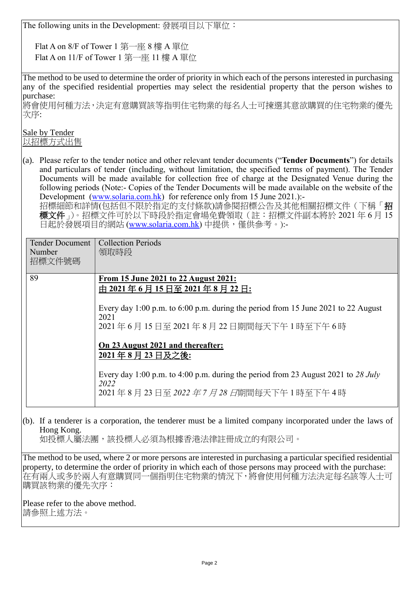The following units in the Development: 發展項目以下單位:

Flat A on 8/F of Tower 1 第一座 8 樓 A 單位 Flat A on 11/F of Tower 1 第一座 11 樓 A 單位

The method to be used to determine the order of priority in which each of the persons interested in purchasing any of the specified residential properties may select the residential property that the person wishes to purchase:

將會使用何種方法,決定有意購買該等指明住宅物業的每名人士可揀選其意欲購買的住宅物業的優先 次序:

Sale by Tender 以招標方式出售

(a). Please refer to the tender notice and other relevant tender documents ("**Tender Documents**") for details and particulars of tender (including, without limitation, the specified terms of payment). The Tender Documents will be made available for collection free of charge at the Designated Venue during the following periods (Note:- Copies of the Tender Documents will be made available on the website of the Development [\(www.solaria.com.hk\)](http://www.solaria.com.hk/) for reference only from 15 June 2021.):-

招標細節和詳情(包括但不限於指定的支付條款)請參閱招標公告及其他相關招標文件(下稱「招 標文件」)。招標文件可於以下時段於指定會場免費領取(註:招標文件副本將於 2021 年 6 月 15 日起於發展項目的網站 [\(www.solaria.com.hk\)](http://www.solaria.com.hk/) 中提供,僅供參考。):-

| <b>Tender Document</b><br>Number<br>招標文件號碼 | <b>Collection Periods</b><br>領取時段                                                                                                                                                                                                                                                                                                                                                              |
|--------------------------------------------|------------------------------------------------------------------------------------------------------------------------------------------------------------------------------------------------------------------------------------------------------------------------------------------------------------------------------------------------------------------------------------------------|
| 89                                         | From 15 June 2021 to 22 August 2021:<br>由 2021年6月15日至 2021年8月22日:<br>Every day 1:00 p.m. to 6:00 p.m. during the period from 15 June 2021 to 22 August<br>2021<br>2021年6月15日至2021年8月22日期間每天下午1時至下午6時<br>On 23 August 2021 and thereafter:<br>2021年8月23日及之後:<br>Every day 1:00 p.m. to 4:00 p.m. during the period from 23 August 2021 to 28 July<br>2022<br>2021年8月23日至2022年7月28日期間每天下午1時至下午4時 |

(b). If a tenderer is a corporation, the tenderer must be a limited company incorporated under the laws of Hong Kong.

如投標人屬法團,該投標人必須為根據香港法律註冊成立的有限公司。

The method to be used, where 2 or more persons are interested in purchasing a particular specified residential property, to determine the order of priority in which each of those persons may proceed with the purchase: 在有兩人或多於兩人有意購買同一個指明住宅物業的情況下,將會使用何種方法決定每名該等人士可 購買該物業的優先次序:

Please refer to the above method. 請參照上述方法。